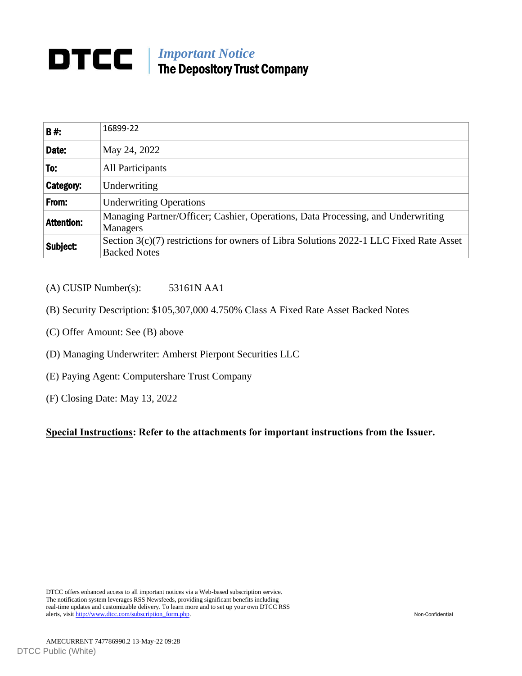## *Important Notice* The Depository Trust Company

| <b>B#:</b>        | 16899-22                                                                                                        |
|-------------------|-----------------------------------------------------------------------------------------------------------------|
| Date:             | May 24, 2022                                                                                                    |
| To:               | All Participants                                                                                                |
| Category:         | Underwriting                                                                                                    |
| From:             | <b>Underwriting Operations</b>                                                                                  |
| <b>Attention:</b> | Managing Partner/Officer; Cashier, Operations, Data Processing, and Underwriting<br>Managers                    |
| Subject:          | Section $3(c)(7)$ restrictions for owners of Libra Solutions 2022-1 LLC Fixed Rate Asset<br><b>Backed Notes</b> |

## (A) CUSIP Number(s): 53161N AA1

- (B) Security Description: \$105,307,000 4.750% Class A Fixed Rate Asset Backed Notes
- (C) Offer Amount: See (B) above
- (D) Managing Underwriter: Amherst Pierpont Securities LLC
- (E) Paying Agent: Computershare Trust Company
- (F) Closing Date: May 13, 2022

**Special Instructions: Refer to the attachments for important instructions from the Issuer.**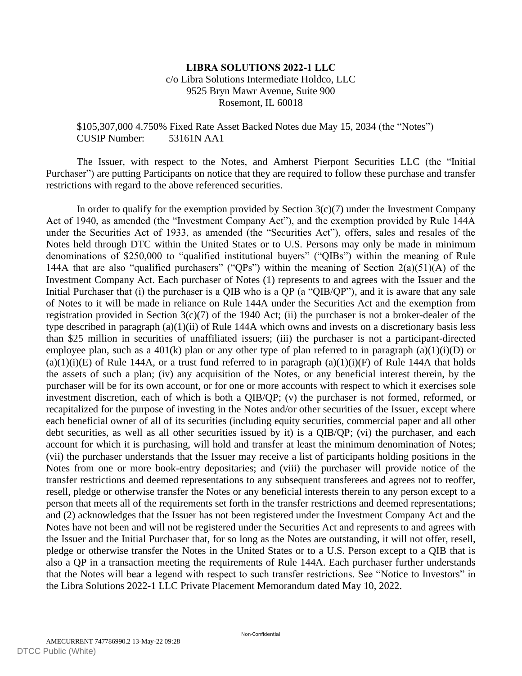## **LIBRA SOLUTIONS 2022-1 LLC** c/o Libra Solutions Intermediate Holdco, LLC 9525 Bryn Mawr Avenue, Suite 900 Rosemont, IL 60018

## \$105,307,000 4.750% Fixed Rate Asset Backed Notes due May 15, 2034 (the "Notes") CUSIP Number: 53161N AA1

The Issuer, with respect to the Notes, and Amherst Pierpont Securities LLC (the "Initial Purchaser") are putting Participants on notice that they are required to follow these purchase and transfer restrictions with regard to the above referenced securities.

In order to qualify for the exemption provided by Section  $3(c)(7)$  under the Investment Company Act of 1940, as amended (the "Investment Company Act"), and the exemption provided by Rule 144A under the Securities Act of 1933, as amended (the "Securities Act"), offers, sales and resales of the Notes held through DTC within the United States or to U.S. Persons may only be made in minimum denominations of \$250,000 to "qualified institutional buyers" ("QIBs") within the meaning of Rule 144A that are also "qualified purchasers" ("QPs") within the meaning of Section  $2(a)(51)(A)$  of the Investment Company Act. Each purchaser of Notes (1) represents to and agrees with the Issuer and the Initial Purchaser that (i) the purchaser is a QIB who is a QP (a "QIB/QP"), and it is aware that any sale of Notes to it will be made in reliance on Rule 144A under the Securities Act and the exemption from registration provided in Section 3(c)(7) of the 1940 Act; (ii) the purchaser is not a broker-dealer of the type described in paragraph (a)(1)(ii) of Rule 144A which owns and invests on a discretionary basis less than \$25 million in securities of unaffiliated issuers; (iii) the purchaser is not a participant-directed employee plan, such as a 401(k) plan or any other type of plan referred to in paragraph (a)(1)(i)(D) or  $(a)(1)(i)(E)$  of Rule 144A, or a trust fund referred to in paragraph  $(a)(1)(i)(F)$  of Rule 144A that holds the assets of such a plan; (iv) any acquisition of the Notes, or any beneficial interest therein, by the purchaser will be for its own account, or for one or more accounts with respect to which it exercises sole investment discretion, each of which is both a QIB/QP; (v) the purchaser is not formed, reformed, or recapitalized for the purpose of investing in the Notes and/or other securities of the Issuer, except where each beneficial owner of all of its securities (including equity securities, commercial paper and all other debt securities, as well as all other securities issued by it) is a QIB/QP; (vi) the purchaser, and each account for which it is purchasing, will hold and transfer at least the minimum denomination of Notes; (vii) the purchaser understands that the Issuer may receive a list of participants holding positions in the Notes from one or more book-entry depositaries; and (viii) the purchaser will provide notice of the transfer restrictions and deemed representations to any subsequent transferees and agrees not to reoffer, resell, pledge or otherwise transfer the Notes or any beneficial interests therein to any person except to a person that meets all of the requirements set forth in the transfer restrictions and deemed representations; and (2) acknowledges that the Issuer has not been registered under the Investment Company Act and the Notes have not been and will not be registered under the Securities Act and represents to and agrees with the Issuer and the Initial Purchaser that, for so long as the Notes are outstanding, it will not offer, resell, pledge or otherwise transfer the Notes in the United States or to a U.S. Person except to a QIB that is also a QP in a transaction meeting the requirements of Rule 144A. Each purchaser further understands that the Notes will bear a legend with respect to such transfer restrictions. See "Notice to Investors" in the Libra Solutions 2022-1 LLC Private Placement Memorandum dated May 10, 2022.

Non-Confidential